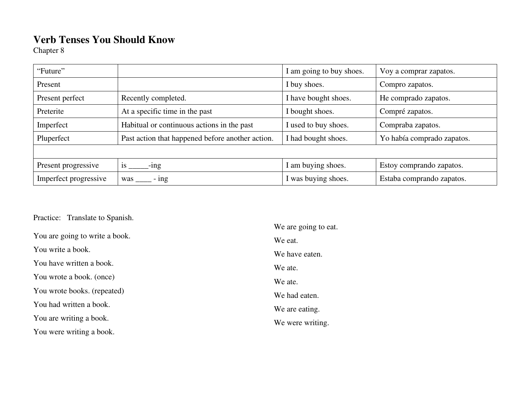## **Verb Tenses You Should Know**

Chapter 8

| "Future"              |                                                  | I am going to buy shoes. | Voy a comprar zapatos.     |  |
|-----------------------|--------------------------------------------------|--------------------------|----------------------------|--|
| Present               |                                                  | I buy shoes.             | Compro zapatos.            |  |
| Present perfect       | Recently completed.                              | I have bought shoes.     | He comprado zapatos.       |  |
| Preterite             | At a specific time in the past                   | I bought shoes.          | Compré zapatos.            |  |
| Imperfect             | Habitual or continuous actions in the past       | I used to buy shoes.     | Compraba zapatos.          |  |
| Pluperfect            | Past action that happened before another action. | I had bought shoes.      | Yo había comprado zapatos. |  |
|                       |                                                  |                          |                            |  |
| Present progressive   | <b>1S</b><br>$-$ ing                             | I am buying shoes.       | Estoy comprando zapatos.   |  |
| Imperfect progressive | $-$ ing<br>was                                   | I was buying shoes.      | Estaba comprando zapatos.  |  |

Practice: Translate to Spanish.

|                                | We are going to eat. |
|--------------------------------|----------------------|
| You are going to write a book. | We eat.              |
| You write a book.              | We have eaten.       |
| You have written a book.       | We ate.              |
| You wrote a book. (once)       | We ate.              |
| You wrote books. (repeated)    | We had eaten.        |
| You had written a book.        | We are eating.       |
| You are writing a book.        | We were writing.     |
| You were writing a book.       |                      |